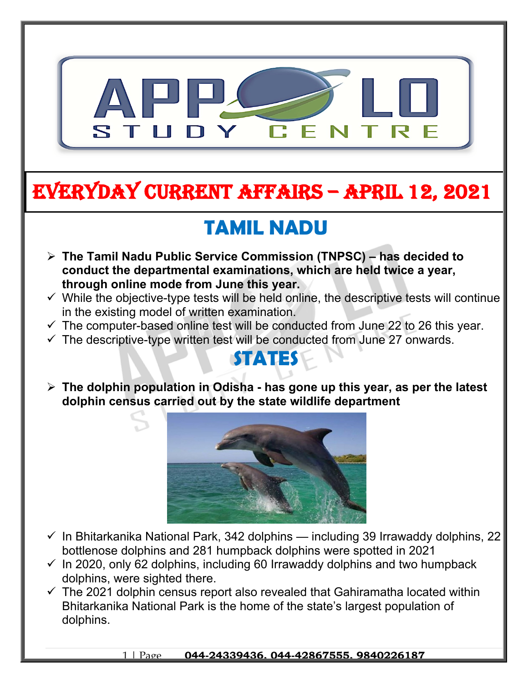

# **EVERYDAY CURRENT AFFAIRS – APRIL 12, 2021**

**-**

## **TAMIL NADU**

- **The Tamil Nadu Public Service Commission (TNPSC) has decided to conduct the departmental examinations, which are held twice a year, through online mode from June this year.**
- $\checkmark$  While the objective-type tests will be held online, the descriptive tests will continue in the existing model of written examination.
- $\checkmark$  The computer-based online test will be conducted from June 22 to 26 this year.
- $\checkmark$  The descriptive-type written test will be conducted from June 27 onwards.

#### **STATES**

 **The dolphin population in Odisha - has gone up this year, as per the latest dolphin census carried out by the state wildlife department**



- $\checkmark$  In Bhitarkanika National Park, 342 dolphins including 39 Irrawaddy dolphins, 22 bottlenose dolphins and 281 humpback dolphins were spotted in 2021
- $\checkmark$  In 2020, only 62 dolphins, including 60 Irrawaddy dolphins and two humpback dolphins, were sighted there.
- $\checkmark$  The 2021 dolphin census report also revealed that Gahiramatha located within Bhitarkanika National Park is the home of the state's largest population of dolphins.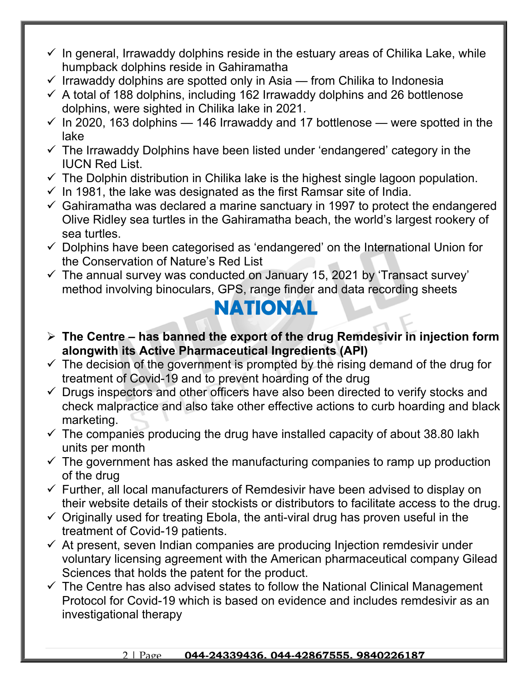- $\checkmark$  In general, Irrawaddy dolphins reside in the estuary areas of Chilika Lake, while humpback dolphins reside in Gahiramatha
- $\checkmark$  Irrawaddy dolphins are spotted only in Asia from Chilika to Indonesia
- $\checkmark$  A total of 188 dolphins, including 162 Irrawaddy dolphins and 26 bottlenose dolphins, were sighted in Chilika lake in 2021.
- $\checkmark$  In 2020, 163 dolphins 146 Irrawaddy and 17 bottlenose were spotted in the lake
- $\checkmark$  The Irrawaddy Dolphins have been listed under 'endangered' category in the IUCN Red List.
- $\checkmark$  The Dolphin distribution in Chilika lake is the highest single lagoon population.
- $\checkmark$  In 1981, the lake was designated as the first Ramsar site of India.
- $\checkmark$  Gahiramatha was declared a marine sanctuary in 1997 to protect the endangered Olive Ridley sea turtles in the Gahiramatha beach, the world's largest rookery of sea turtles.
- $\checkmark$  Dolphins have been categorised as 'endangered' on the International Union for the Conservation of Nature's Red List
- $\checkmark$  The annual survey was conducted on January 15, 2021 by 'Transact survey' method involving binoculars, GPS, range finder and data recording sheets

### **NATIONAL**

- **The Centre has banned the export of the drug Remdesivir in injection form alongwith its Active Pharmaceutical Ingredients (API)**
- $\checkmark$  The decision of the government is prompted by the rising demand of the drug for treatment of Covid-19 and to prevent hoarding of the drug
- $\checkmark$  Drugs inspectors and other officers have also been directed to verify stocks and check malpractice and also take other effective actions to curb hoarding and black marketing.
- $\checkmark$  The companies producing the drug have installed capacity of about 38.80 lakh units per month
- $\checkmark$  The government has asked the manufacturing companies to ramp up production of the drug
- $\checkmark$  Further, all local manufacturers of Remdesivir have been advised to display on their website details of their stockists or distributors to facilitate access to the drug.
- $\checkmark$  Originally used for treating Ebola, the anti-viral drug has proven useful in the treatment of Covid-19 patients.
- $\checkmark$  At present, seven Indian companies are producing Injection remdesivir under voluntary licensing agreement with the American pharmaceutical company Gilead Sciences that holds the patent for the product.
- $\checkmark$  The Centre has also advised states to follow the National Clinical Management Protocol for Covid-19 which is based on evidence and includes remdesivir as an investigational therapy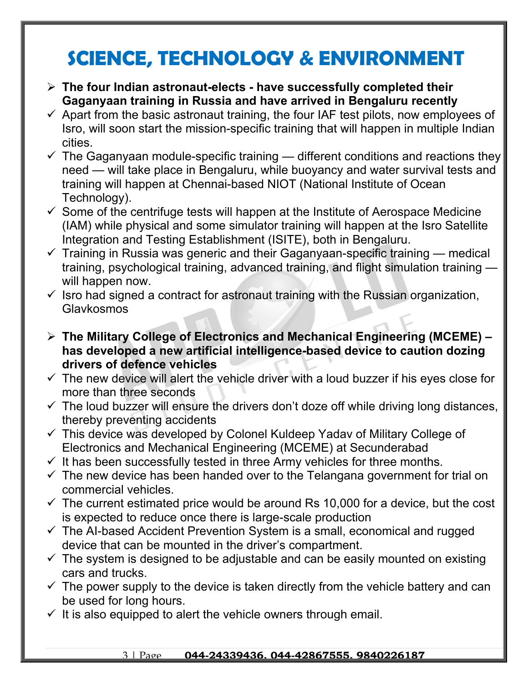### **SCIENCE, TECHNOLOGY & ENVIRONMENT**

- **The four Indian astronaut-elects have successfully completed their Gaganyaan training in Russia and have arrived in Bengaluru recently**
- $\checkmark$  Apart from the basic astronaut training, the four IAF test pilots, now employees of Isro, will soon start the mission-specific training that will happen in multiple Indian cities.
- $\checkmark$  The Gaganyaan module-specific training different conditions and reactions they need — will take place in Bengaluru, while buoyancy and water survival tests and training will happen at Chennai-based NIOT (National Institute of Ocean Technology).
- $\checkmark$  Some of the centrifuge tests will happen at the Institute of Aerospace Medicine (IAM) while physical and some simulator training will happen at the Isro Satellite Integration and Testing Establishment (ISITE), both in Bengaluru.
- $\checkmark$  Training in Russia was generic and their Gaganyaan-specific training medical training, psychological training, advanced training, and flight simulation training will happen now.
- $\checkmark$  Isro had signed a contract for astronaut training with the Russian organization, Glavkosmos
- **The Military College of Electronics and Mechanical Engineering (MCEME) has developed a new artificial intelligence-based device to caution dozing drivers of defence vehicles**
- $\checkmark$  The new device will alert the vehicle driver with a loud buzzer if his eyes close for more than three seconds
- $\checkmark$  The loud buzzer will ensure the drivers don't doze off while driving long distances, thereby preventing accidents
- $\checkmark$  This device was developed by Colonel Kuldeep Yadav of Military College of Electronics and Mechanical Engineering (MCEME) at Secunderabad
- $\checkmark$  It has been successfully tested in three Army vehicles for three months.
- $\checkmark$  The new device has been handed over to the Telangana government for trial on commercial vehicles.
- $\checkmark$  The current estimated price would be around Rs 10,000 for a device, but the cost is expected to reduce once there is large-scale production
- $\checkmark$  The AI-based Accident Prevention System is a small, economical and rugged device that can be mounted in the driver's compartment.
- $\checkmark$  The system is designed to be adjustable and can be easily mounted on existing cars and trucks.
- $\checkmark$  The power supply to the device is taken directly from the vehicle battery and can be used for long hours.
- $\checkmark$  It is also equipped to alert the vehicle owners through email.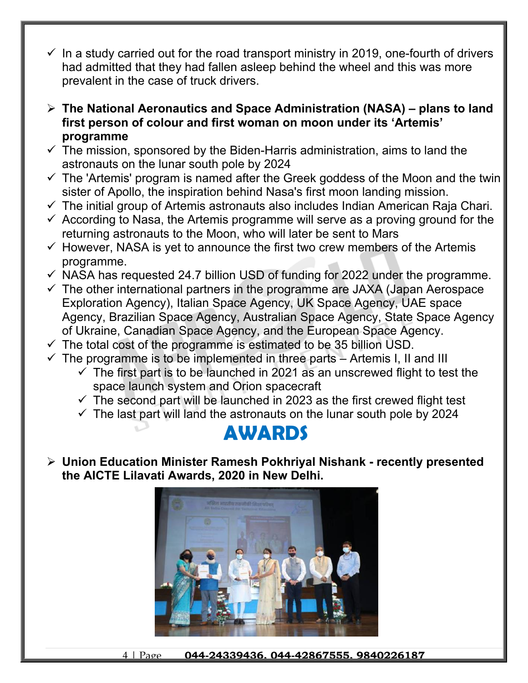- In a study carried out for the road transport ministry in 2019, one-fourth of drivers had admitted that they had fallen asleep behind the wheel and this was more prevalent in the case of truck drivers.
- **The National Aeronautics and Space Administration (NASA) plans to land first person of colour and first woman on moon under its 'Artemis' programme**
- $\checkmark$  The mission, sponsored by the Biden-Harris administration, aims to land the astronauts on the lunar south pole by 2024
- $\checkmark$  The 'Artemis' program is named after the Greek goddess of the Moon and the twin sister of Apollo, the inspiration behind Nasa's first moon landing mission.
- $\checkmark$  The initial group of Artemis astronauts also includes Indian American Raja Chari.
- $\checkmark$  According to Nasa, the Artemis programme will serve as a proving ground for the returning astronauts to the Moon, who will later be sent to Mars
- $\checkmark$  However, NASA is yet to announce the first two crew members of the Artemis programme.
- $\checkmark$  NASA has requested 24.7 billion USD of funding for 2022 under the programme.
- $\checkmark$  The other international partners in the programme are JAXA (Japan Aerospace Exploration Agency), Italian Space Agency, UK Space Agency, UAE space Agency, Brazilian Space Agency, Australian Space Agency, State Space Agency of Ukraine, Canadian Space Agency, and the European Space Agency.
- $\checkmark$  The total cost of the programme is estimated to be 35 billion USD.
- $\checkmark$  The programme is to be implemented in three parts Artemis I, II and III
	- $\checkmark$  The first part is to be launched in 2021 as an unscrewed flight to test the space launch system and Orion spacecraft
	- $\checkmark$  The second part will be launched in 2023 as the first crewed flight test
	- $\checkmark$  The last part will land the astronauts on the lunar south pole by 2024

### **AWARDS**

 **Union Education Minister Ramesh Pokhriyal Nishank - recently presented the AICTE Lilavati Awards, 2020 in New Delhi.** 



4 | Page **044-24339436, 044-42867555, 9840226187**